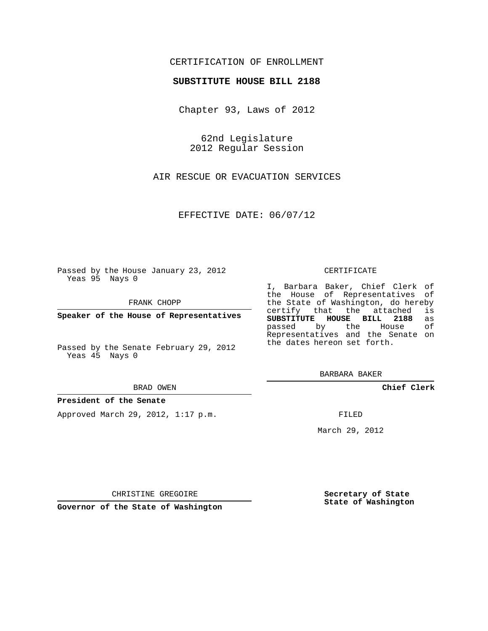### CERTIFICATION OF ENROLLMENT

#### **SUBSTITUTE HOUSE BILL 2188**

Chapter 93, Laws of 2012

62nd Legislature 2012 Regular Session

AIR RESCUE OR EVACUATION SERVICES

EFFECTIVE DATE: 06/07/12

Passed by the House January 23, 2012 Yeas 95 Nays 0

FRANK CHOPP

**Speaker of the House of Representatives**

Passed by the Senate February 29, 2012 Yeas 45 Nays 0

#### BRAD OWEN

#### **President of the Senate**

Approved March 29, 2012, 1:17 p.m.

#### CERTIFICATE

I, Barbara Baker, Chief Clerk of the House of Representatives of the State of Washington, do hereby<br>certify that the attached is certify that the attached **SUBSTITUTE HOUSE BILL 2188** as passed by the Representatives and the Senate on the dates hereon set forth.

BARBARA BAKER

**Chief Clerk**

FILED

March 29, 2012

**Secretary of State State of Washington**

CHRISTINE GREGOIRE

**Governor of the State of Washington**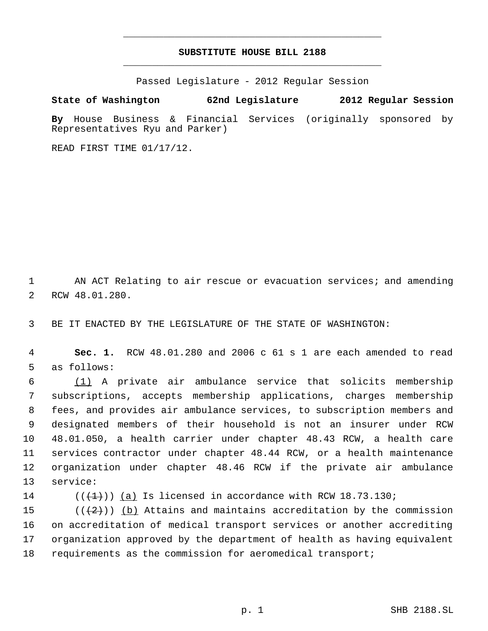## **SUBSTITUTE HOUSE BILL 2188** \_\_\_\_\_\_\_\_\_\_\_\_\_\_\_\_\_\_\_\_\_\_\_\_\_\_\_\_\_\_\_\_\_\_\_\_\_\_\_\_\_\_\_\_\_

\_\_\_\_\_\_\_\_\_\_\_\_\_\_\_\_\_\_\_\_\_\_\_\_\_\_\_\_\_\_\_\_\_\_\_\_\_\_\_\_\_\_\_\_\_

Passed Legislature - 2012 Regular Session

**State of Washington 62nd Legislature 2012 Regular Session**

**By** House Business & Financial Services (originally sponsored by Representatives Ryu and Parker)

READ FIRST TIME 01/17/12.

1 AN ACT Relating to air rescue or evacuation services; and amending 2 RCW 48.01.280.

3 BE IT ENACTED BY THE LEGISLATURE OF THE STATE OF WASHINGTON:

 4 **Sec. 1.** RCW 48.01.280 and 2006 c 61 s 1 are each amended to read 5 as follows:

 (1) A private air ambulance service that solicits membership subscriptions, accepts membership applications, charges membership fees, and provides air ambulance services, to subscription members and designated members of their household is not an insurer under RCW 48.01.050, a health carrier under chapter 48.43 RCW, a health care services contractor under chapter 48.44 RCW, or a health maintenance organization under chapter 48.46 RCW if the private air ambulance 13 service:

14  $((\langle 1 \rangle)(a)$  Is licensed in accordance with RCW 18.73.130;

 $((+2))$  (b) Attains and maintains accreditation by the commission on accreditation of medical transport services or another accrediting organization approved by the department of health as having equivalent requirements as the commission for aeromedical transport;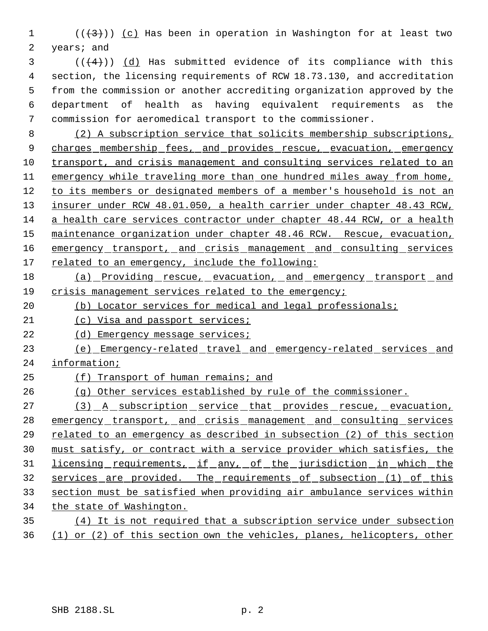1  $((+3))$   $(c)$  Has been in operation in Washington for at least two years; and

 $(1 + 4)$ ) (d) Has submitted evidence of its compliance with this section, the licensing requirements of RCW 18.73.130, and accreditation from the commission or another accrediting organization approved by the department of health as having equivalent requirements as the commission for aeromedical transport to the commissioner.

 (2) A subscription service that solicits membership subscriptions, 9 charges membership fees, and provides rescue, evacuation, emergency transport, and crisis management and consulting services related to an emergency while traveling more than one hundred miles away from home, to its members or designated members of a member's household is not an insurer under RCW 48.01.050, a health carrier under chapter 48.43 RCW, a health care services contractor under chapter 48.44 RCW, or a health maintenance organization under chapter 48.46 RCW. Rescue, evacuation, 16 emergency transport, and crisis management and consulting services 17 related to an emergency, include the following:

# 18 (a) Providing rescue, evacuation, and emergency transport and crisis management services related to the emergency;

20 (b) Locator services for medical and legal professionals;

21 (c) Visa and passport services;

22 (d) Emergency message services;

 (e) Emergency-related travel and emergency-related services and information;

(f) Transport of human remains; and

(g) Other services established by rule of the commissioner.

27 (3) A subscription service that provides rescue, evacuation, 28 emergency transport, and crisis management and consulting services related to an emergency as described in subsection (2) of this section must satisfy, or contract with a service provider which satisfies, the 31 licensing requirements, if any, of the jurisdiction in which the services are provided. The requirements of subsection (1) of this section must be satisfied when providing air ambulance services within the state of Washington. (4) It is not required that a subscription service under subsection

(1) or (2) of this section own the vehicles, planes, helicopters, other